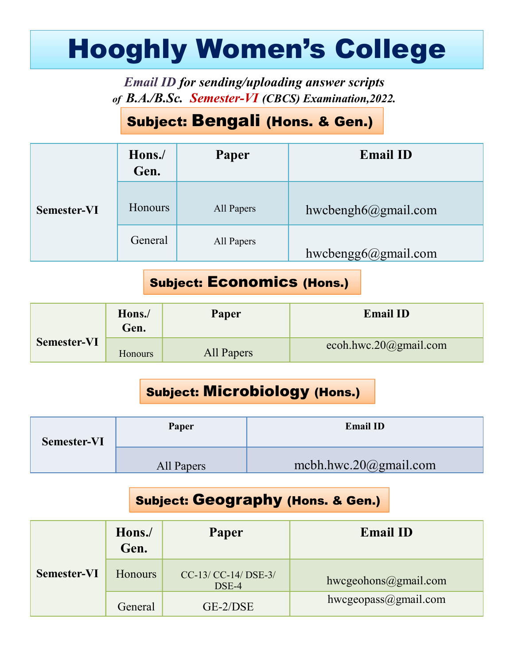# Hooghly Women's College

# Subject: Bengali (Hons. & Gen.)

|                    |                |                                                                                                             | <b>Hooghly Women's College</b> |
|--------------------|----------------|-------------------------------------------------------------------------------------------------------------|--------------------------------|
|                    |                | <b>Email ID for sending/uploading answer scripts</b><br>of B.A./B.Sc. Semester-VI (CBCS) Examination, 2022. |                                |
|                    |                | <b>Subject: Bengali (Hons. &amp; Gen.)</b>                                                                  |                                |
|                    | Hons./<br>Gen. | Paper                                                                                                       | <b>Email ID</b>                |
| <b>Semester-VI</b> | Honours        | All Papers                                                                                                  | hwcbengh $6@g$ mail.com        |
|                    | General        | All Papers                                                                                                  | hwcbengg $6@g$ mail.com        |
|                    |                | <b>Subject: Economics (Hons.)</b>                                                                           |                                |
|                    | Hons./<br>Gen. | Paper                                                                                                       | <b>Email ID</b>                |
| <b>Semester-VI</b> | Honours        | <b>All Papers</b>                                                                                           | ecoh.hwc.20@gmail.com          |

#### Subject: Economics (Hons.)

| Semester-VI        | TIOITOUIS      | All rapels |                                      | $n$ wcbengno $\omega$ gmail.com |  |
|--------------------|----------------|------------|--------------------------------------|---------------------------------|--|
|                    | General        | All Papers |                                      | hwcbengg6@gmail.com             |  |
|                    |                |            | <b>Subject: Economics (Hons.)</b>    |                                 |  |
|                    | Hons./<br>Gen. | Paper      |                                      | <b>Email ID</b>                 |  |
| <b>Semester-VI</b> | Honours        | All Papers |                                      | ecoh.hwc.20@gmail.com           |  |
|                    |                |            | <b>Subject: Microbiology (Hons.)</b> |                                 |  |
| <b>Semester-VI</b> |                | Paper      |                                      | <b>Email ID</b>                 |  |
|                    |                | All Papers |                                      | mcbh.hwc.20 $@g$ mail.com       |  |
|                    |                |            |                                      |                                 |  |

#### Subject: Microbiology (Hons.)

| Semester-VI | Paper      | <b>Email ID</b>           |  |
|-------------|------------|---------------------------|--|
|             | All Papers | mcbh.hwc.20 $@g$ mail.com |  |

#### Subject: Geography (Hons. & Gen.)

|                    | <b>TTAIT?</b><br>Gen.                    | 1 apri                               |                           | глиан 11                                     |  |
|--------------------|------------------------------------------|--------------------------------------|---------------------------|----------------------------------------------|--|
| <b>Semester-VI</b> | Honours                                  | <b>All Papers</b>                    |                           | ecoh.hwc.20@gmail.com                        |  |
|                    |                                          | <b>Subject: Microbiology (Hons.)</b> |                           |                                              |  |
| <b>Semester-VI</b> |                                          | Paper                                |                           | <b>Email ID</b>                              |  |
|                    | All Papers                               |                                      | mcbh.hwc.20 $@g$ mail.com |                                              |  |
|                    |                                          |                                      |                           | <b>Subject: Geography (Hons. &amp; Gen.)</b> |  |
|                    | Hons./<br>Gen.                           | Paper                                |                           | <b>Email ID</b>                              |  |
| <b>Semester-VI</b> | Honours<br>CC-13/ CC-14/ DSE-3/<br>DSE-4 |                                      |                           | hwcgeohons@gmail.com                         |  |
|                    |                                          | GE-2/DSE                             |                           | hwcgeopass@gmail.com                         |  |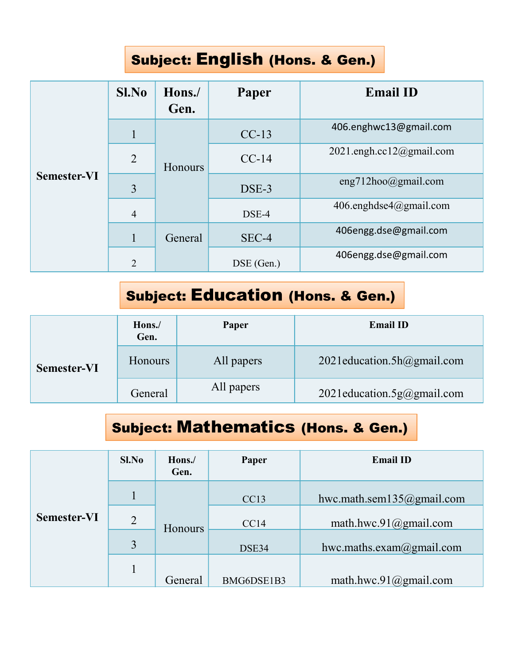# Subject: English (Hons. & Gen.)

| <b>Subject: English (Hons. &amp; Gen.)</b><br>Sl.No<br><b>Email ID</b><br>Paper<br>Hons./<br>Gen.<br>406.enghwc13@gmail.com<br>$CC-13$<br>$\mathbf{1}$<br>2021.engh.cc12@gmail.com<br>$\overline{2}$<br>$CC-14$<br>Honours<br><b>Semester-VI</b><br>eng712hoo@gmail.com<br>$\overline{3}$<br>DSE-3<br>406.enghdse4@gmail.com<br>DSE-4<br>$\overline{4}$<br>406engg.dse@gmail.com<br>$\mathbf{1}$<br>SEC-4<br>General<br>406engg.dse@gmail.com<br>DSE (Gen.)<br>$\overline{2}$<br><b>Subject: Education (Hons. &amp; Gen.)</b><br><b>Email ID</b><br>Paper<br>Hons./<br>Gen.<br>2021education.5h@gmail.com<br>Honours<br>All papers<br>Semester-VI<br>All papers<br>2021education.5g@gmail.com<br>General |  |  |  |  |
|----------------------------------------------------------------------------------------------------------------------------------------------------------------------------------------------------------------------------------------------------------------------------------------------------------------------------------------------------------------------------------------------------------------------------------------------------------------------------------------------------------------------------------------------------------------------------------------------------------------------------------------------------------------------------------------------------------|--|--|--|--|
|                                                                                                                                                                                                                                                                                                                                                                                                                                                                                                                                                                                                                                                                                                          |  |  |  |  |
|                                                                                                                                                                                                                                                                                                                                                                                                                                                                                                                                                                                                                                                                                                          |  |  |  |  |
|                                                                                                                                                                                                                                                                                                                                                                                                                                                                                                                                                                                                                                                                                                          |  |  |  |  |
|                                                                                                                                                                                                                                                                                                                                                                                                                                                                                                                                                                                                                                                                                                          |  |  |  |  |
|                                                                                                                                                                                                                                                                                                                                                                                                                                                                                                                                                                                                                                                                                                          |  |  |  |  |
|                                                                                                                                                                                                                                                                                                                                                                                                                                                                                                                                                                                                                                                                                                          |  |  |  |  |
|                                                                                                                                                                                                                                                                                                                                                                                                                                                                                                                                                                                                                                                                                                          |  |  |  |  |
|                                                                                                                                                                                                                                                                                                                                                                                                                                                                                                                                                                                                                                                                                                          |  |  |  |  |
|                                                                                                                                                                                                                                                                                                                                                                                                                                                                                                                                                                                                                                                                                                          |  |  |  |  |
|                                                                                                                                                                                                                                                                                                                                                                                                                                                                                                                                                                                                                                                                                                          |  |  |  |  |
|                                                                                                                                                                                                                                                                                                                                                                                                                                                                                                                                                                                                                                                                                                          |  |  |  |  |
|                                                                                                                                                                                                                                                                                                                                                                                                                                                                                                                                                                                                                                                                                                          |  |  |  |  |
|                                                                                                                                                                                                                                                                                                                                                                                                                                                                                                                                                                                                                                                                                                          |  |  |  |  |

# Subject: Education (Hons. & Gen.)

|                                                   | $\overline{2}$ |                | DSE (Gen.) | 406engg.dse@gmail.com                          |  |
|---------------------------------------------------|----------------|----------------|------------|------------------------------------------------|--|
|                                                   |                |                |            | <b>Subject: Education (Hons. &amp; Gen.)</b>   |  |
|                                                   | Hons./<br>Gen. |                | Paper      | <b>Email ID</b>                                |  |
| <b>Semester-VI</b>                                | <b>Honours</b> |                | All papers | 2021education.5h@gmail.com                     |  |
|                                                   | General        |                | All papers | 2021education.5 $g$ @gmail.com                 |  |
|                                                   |                |                |            | <b>Subject: Mathematics (Hons. &amp; Gen.)</b> |  |
|                                                   | Sl.No          | Hons./<br>Gen. | Paper      | <b>Email ID</b>                                |  |
|                                                   |                |                | CC13       | hwc.math.sem135@gmail.com                      |  |
| $\mathbf{C}$ and as $\mathbf{A}$ and $\mathbf{V}$ |                |                |            |                                                |  |

## Subject: Mathematics (Hons. & Gen.)

| Sl.No          | Hons./<br>Gen. | Paper              | <b>Email ID</b>                   |
|----------------|----------------|--------------------|-----------------------------------|
|                |                | CC13               | hwc.math.sem135@gmail.com         |
| $\overline{2}$ |                | CC14               | math.hwc.91@gmail.com             |
| 3              |                | DSE34              | hwc.maths.exam $\omega$ gmail.com |
|                |                |                    | math.hwc.91@gmail.com             |
|                |                | Honours<br>General | BMG6DSE1B3                        |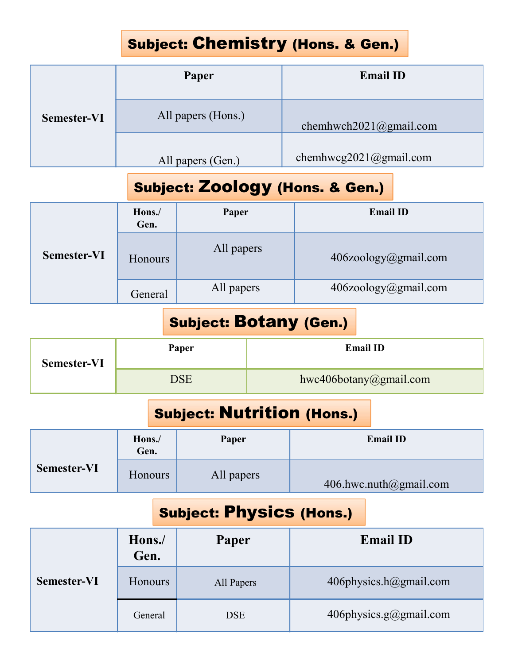# Subject: Chemistry (Hons. & Gen.)

|                    |                   | Subject: Chemistry (Hons. & Gen.) |                        |
|--------------------|-------------------|-----------------------------------|------------------------|
|                    |                   | Paper                             | <b>Email ID</b>        |
| <b>Semester-VI</b> |                   | All papers (Hons.)                | chemhwch2021@gmail.com |
|                    | All papers (Gen.) |                                   | chemhwcg2021@gmail.com |
|                    |                   | Subject: Zoology (Hons. & Gen.)   |                        |
|                    | Hons./<br>Gen.    | Paper                             | <b>Email ID</b>        |
|                    |                   |                                   |                        |

## Subject: Zoology (Hons. & Gen.)

|                    |                | Paper                         |                        | <b>Email ID</b>                            |  |
|--------------------|----------------|-------------------------------|------------------------|--------------------------------------------|--|
| <b>Semester-VI</b> |                | All papers (Hons.)            |                        | chemhwch2021@gmail.com                     |  |
|                    |                | All papers (Gen.)             |                        | chemhwcg2021@gmail.com                     |  |
|                    |                |                               |                        | <b>Subject: Zoology (Hons. &amp; Gen.)</b> |  |
|                    | Hons./<br>Gen. | Paper                         |                        | <b>Email ID</b>                            |  |
| <b>Semester-VI</b> | Honours        | All papers                    |                        | 406zoology@gmail.com                       |  |
|                    | General        | All papers                    |                        | 406zoology@gmail.com                       |  |
|                    |                | <b>Subject: Botany (Gen.)</b> |                        |                                            |  |
| <b>Semester-VI</b> | Paper          |                               |                        | <b>Email ID</b>                            |  |
|                    | <b>DSE</b>     |                               | hwc406botany@gmail.com |                                            |  |
|                    |                |                               |                        | <b>Subject: Nutrition (Hons.)</b>          |  |
|                    | Hons./<br>Gen. | Paper                         |                        | <b>Email ID</b>                            |  |
| <b>Semester-VI</b> | Honours        | All papers                    |                        | 406.hwc.nuth@gmail.com                     |  |

#### Subject: Botany (Gen.)

| <b>Semester-VI</b> | Paper           | <b>Email ID</b>        |
|--------------------|-----------------|------------------------|
|                    | $\mathcal{P}SE$ | hwc406botany@gmail.com |

# Subject: Nutrition (Hons.)

| ментемен т         | <b>HONOUIS</b> |                                   |  |                        | $40020010$ gy $(u)$ ginan.com |
|--------------------|----------------|-----------------------------------|--|------------------------|-------------------------------|
|                    | General        | All papers                        |  |                        | $406$ zoology@gmail.com       |
|                    |                | <b>Subject: Botany (Gen.)</b>     |  |                        |                               |
| <b>Semester-VI</b> |                | Paper                             |  |                        | <b>Email ID</b>               |
|                    |                | <b>DSE</b>                        |  | hwc406botany@gmail.com |                               |
|                    |                | <b>Subject: Nutrition (Hons.)</b> |  |                        |                               |
|                    | Hons./<br>Gen. | Paper                             |  |                        | <b>Email ID</b>               |
| <b>Semester-VI</b> | <b>Honours</b> | All papers                        |  |                        | 406.hwc.nuth@gmail.com        |
|                    |                | <b>Subject: Physics (Hons.)</b>   |  |                        |                               |
|                    |                |                                   |  |                        |                               |

## Subject: Physics (Hons.)

|                    |                | <b>SUNGAL RATURALLY (AGILI)</b> |                        |                                   |                        |  |
|--------------------|----------------|---------------------------------|------------------------|-----------------------------------|------------------------|--|
| <b>Semester-VI</b> |                | Paper                           |                        |                                   | <b>Email ID</b>        |  |
|                    | <b>DSE</b>     |                                 | hwc406botany@gmail.com |                                   |                        |  |
|                    |                |                                 |                        | <b>Subject: Nutrition (Hons.)</b> |                        |  |
|                    | Hons./<br>Gen. | Paper                           |                        | <b>Email ID</b>                   |                        |  |
| Semester-VI        | Honours        | All papers                      |                        | 406.hwc.nuth@gmail.com            |                        |  |
|                    |                | <b>Subject: Physics (Hons.)</b> |                        |                                   |                        |  |
|                    | Hons./<br>Gen. | Paper                           |                        |                                   | <b>Email ID</b>        |  |
| <b>Semester-VI</b> | Honours        | All Papers                      |                        | 406physics.h@gmail.com            |                        |  |
|                    | General        | <b>DSE</b>                      |                        |                                   | 406physics.g@gmail.com |  |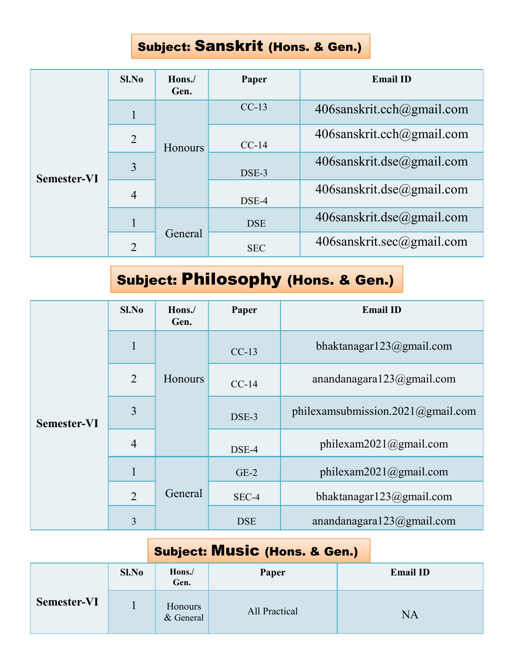#### Subject: Sanskrit (Hons. & Gen.)

|             |                |                |            | Subject: Sanskrit (Hons. & Gen.)              |
|-------------|----------------|----------------|------------|-----------------------------------------------|
|             | Sl.No          | Hons./<br>Gen. | Paper      | <b>Email ID</b>                               |
|             | $\mathbf{1}$   |                | $CC-13$    | 406sanskrit.cch@gmail.com                     |
|             | $\overline{2}$ | Honours        | $CC-14$    | 406sanskrit.cch@gmail.com                     |
| Semester-VI | $\overline{3}$ |                | DSE-3      | 406sanskrit.dse@gmail.com                     |
|             | $\overline{4}$ |                | DSE-4      | 406sanskrit.dse@gmail.com                     |
|             | $\mathbf{1}$   |                | <b>DSE</b> | 406sanskrit.dse@gmail.com                     |
|             | $\overline{2}$ | General        | <b>SEC</b> | 406sanskrit.sec@gmail.com                     |
|             |                |                |            | <b>Subject: Philosophy (Hons. &amp; Gen.)</b> |
|             | Sl.No          | Hons./<br>Gen. | Paper      | <b>Email ID</b>                               |
|             | $\mathbf{1}$   |                | $CC-13$    | bhaktanagar123@gmail.com                      |
|             |                |                |            |                                               |

# Subject: Philosophy (Hons. & Gen.)

|                    | Sl.No          | Hons./<br>Gen.       | Paper                                    |  | <b>Email ID</b>                   |
|--------------------|----------------|----------------------|------------------------------------------|--|-----------------------------------|
|                    | $\mathbf{1}$   |                      | $CC-13$                                  |  | bhaktanagar123@gmail.com          |
|                    | $\overline{2}$ | Honours              | $CC-14$                                  |  | anandanagara123@gmail.com         |
| <b>Semester-VI</b> | $\overline{3}$ |                      | DSE-3                                    |  | philexamsubmission.2021@gmail.com |
|                    | $\overline{4}$ |                      | DSE-4                                    |  | philexam2021@gmail.com            |
|                    | $\mathbf{1}$   |                      | $GE-2$                                   |  | philexam2021@gmail.com            |
|                    | 2              | General              | SEC-4                                    |  | bhaktanagar123@gmail.com          |
|                    | $\overline{3}$ |                      | <b>DSE</b>                               |  | anandanagara123@gmail.com         |
|                    |                |                      | <b>Subject: Music (Hons. &amp; Gen.)</b> |  |                                   |
|                    | Sl.No          | Hons./<br>Gen.       | Paper                                    |  | <b>Email ID</b>                   |
| <b>Semester-VI</b> | $\mathbf{1}$   | Honours<br>& General | All Practical                            |  | <b>NA</b>                         |

## Subject: Music (Hons. & Gen.)

|                    | Sl.No | Hons./<br>Gen.       | Paper         | <b>Email ID</b> |
|--------------------|-------|----------------------|---------------|-----------------|
| <b>Semester-VI</b> |       | Honours<br>& General | All Practical | <b>NA</b>       |